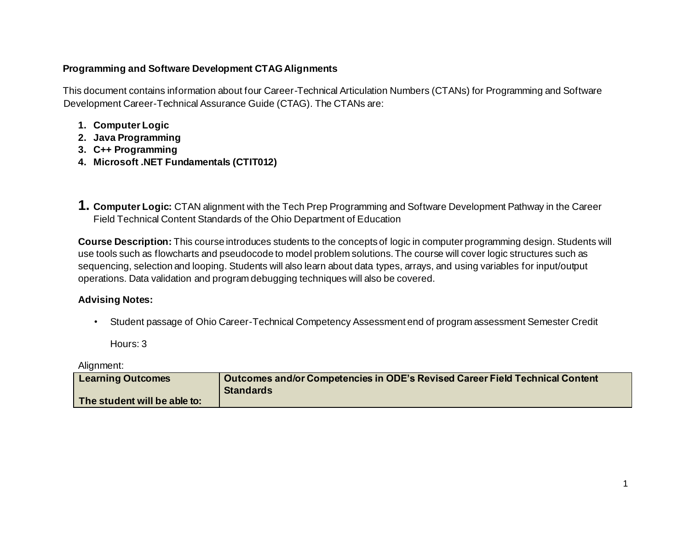## **Programming and Software Development CTAG Alignments**

This document contains information about four Career-Technical Articulation Numbers (CTANs) for Programming and Software Development Career-Technical Assurance Guide (CTAG). The CTANs are:

- **1. Computer Logic**
- **2. Java Programming**
- **3. C++ Programming**
- **4. Microsoft .NET Fundamentals (CTIT012)**
- **1. Computer Logic:** CTAN alignment with the Tech Prep Programming and Software Development Pathway in the Career Field Technical Content Standards of the Ohio Department of Education

**Course Description:** This course introduces students to the concepts of logic in computer programming design. Students will use tools such as flowcharts and pseudocode to model problem solutions. The course will cover logic structures such as sequencing, selection and looping. Students will also learn about data types, arrays, and using variables for input/output operations. Data validation and program debugging techniques will also be covered.

## **Advising Notes:**

• Student passage of Ohio Career-Technical Competency Assessment end of program assessment Semester Credit

Hours: 3

Alignment:

| <b>Learning Outcomes</b>     | Outcomes and/or Competencies in ODE's Revised Career Field Technical Content |
|------------------------------|------------------------------------------------------------------------------|
|                              | <b>Standards</b>                                                             |
| The student will be able to: |                                                                              |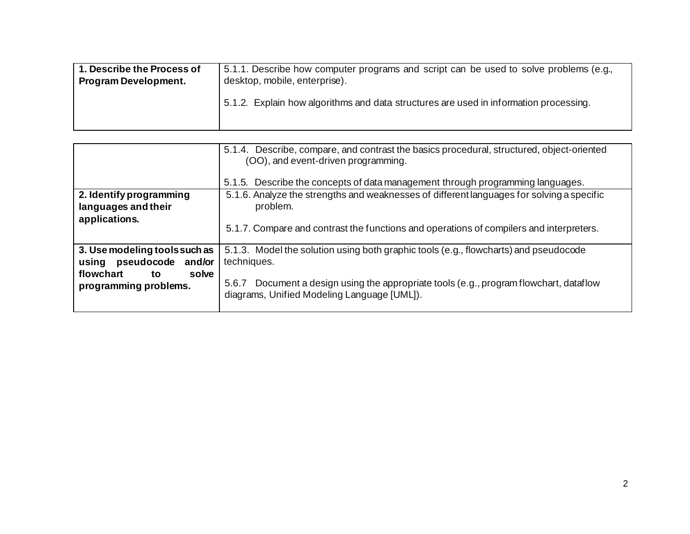| 1. Describe the Process of  | 5.1.1. Describe how computer programs and script can be used to solve problems (e.g., |
|-----------------------------|---------------------------------------------------------------------------------------|
| <b>Program Development.</b> | desktop, mobile, enterprise).                                                         |
|                             | 5.1.2. Explain how algorithms and data structures are used in information processing. |

|                                                                                                               | 5.1.4. Describe, compare, and contrast the basics procedural, structured, object-oriented<br>(OO), and event-driven programming.<br>5.1.5. Describe the concepts of data management through programming languages.                              |
|---------------------------------------------------------------------------------------------------------------|-------------------------------------------------------------------------------------------------------------------------------------------------------------------------------------------------------------------------------------------------|
| 2. Identify programming<br>languages and their<br>applications.                                               | 5.1.6. Analyze the strengths and weaknesses of different languages for solving a specific<br>problem.<br>5.1.7. Compare and contrast the functions and operations of compilers and interpreters.                                                |
| 3. Use modeling tools such as<br>using pseudocode and/or<br>solve<br>flowchart<br>to<br>programming problems. | 5.1.3. Model the solution using both graphic tools (e.g., flowcharts) and pseudocode<br>techniques.<br>Document a design using the appropriate tools (e.g., program flowchart, dataflow<br>5.6.7<br>diagrams, Unified Modeling Language [UML]). |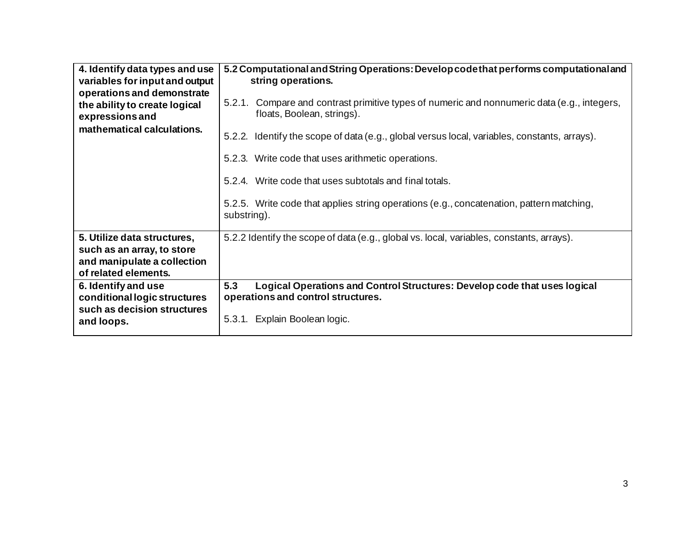| 4. Identify data types and use<br>variables for input and output                                                 | 5.2 Computational and String Operations: Develop code that performs computational and<br>string operations.               |
|------------------------------------------------------------------------------------------------------------------|---------------------------------------------------------------------------------------------------------------------------|
| operations and demonstrate<br>the ability to create logical<br>expressions and                                   | 5.2.1. Compare and contrast primitive types of numeric and nonnumeric data (e.g., integers,<br>floats, Boolean, strings). |
| mathematical calculations.                                                                                       | 5.2.2. Identify the scope of data (e.g., global versus local, variables, constants, arrays).                              |
|                                                                                                                  | 5.2.3. Write code that uses arithmetic operations.                                                                        |
|                                                                                                                  | 5.2.4. Write code that uses subtotals and final totals.                                                                   |
|                                                                                                                  | 5.2.5. Write code that applies string operations (e.g., concatenation, pattern matching,<br>substring).                   |
| 5. Utilize data structures,<br>such as an array, to store<br>and manipulate a collection<br>of related elements. | 5.2.2 Identify the scope of data (e.g., global vs. local, variables, constants, arrays).                                  |
| 6. Identify and use<br>conditional logic structures                                                              | 5.3<br>Logical Operations and Control Structures: Develop code that uses logical<br>operations and control structures.    |
| such as decision structures<br>and loops.                                                                        | Explain Boolean logic.<br>5.3.1.                                                                                          |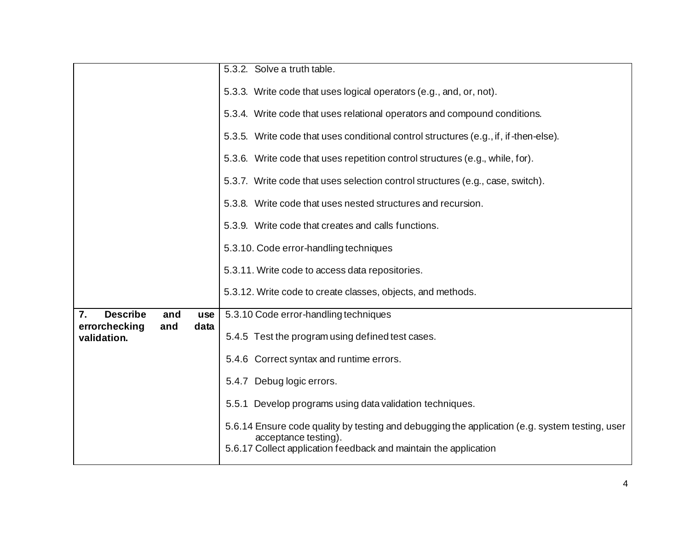|                                     |      | 5.3.2. Solve a truth table.                                                                                                                                                                |
|-------------------------------------|------|--------------------------------------------------------------------------------------------------------------------------------------------------------------------------------------------|
|                                     |      |                                                                                                                                                                                            |
|                                     |      | 5.3.3. Write code that uses logical operators (e.g., and, or, not).                                                                                                                        |
|                                     |      | 5.3.4. Write code that uses relational operators and compound conditions.                                                                                                                  |
|                                     |      | 5.3.5. Write code that uses conditional control structures (e.g., if, if-then-else).                                                                                                       |
|                                     |      | 5.3.6. Write code that uses repetition control structures (e.g., while, for).                                                                                                              |
|                                     |      | 5.3.7. Write code that uses selection control structures (e.g., case, switch).                                                                                                             |
|                                     |      | 5.3.8. Write code that uses nested structures and recursion.                                                                                                                               |
|                                     |      | 5.3.9. Write code that creates and calls functions.                                                                                                                                        |
|                                     |      | 5.3.10. Code error-handling techniques                                                                                                                                                     |
|                                     |      | 5.3.11. Write code to access data repositories.                                                                                                                                            |
|                                     |      | 5.3.12. Write code to create classes, objects, and methods.                                                                                                                                |
| <b>Describe</b><br>7.<br>and        | use  | 5.3.10 Code error-handling techniques                                                                                                                                                      |
| errorchecking<br>and<br>validation. | data | 5.4.5 Test the program using defined test cases.                                                                                                                                           |
|                                     |      | 5.4.6 Correct syntax and runtime errors.                                                                                                                                                   |
|                                     |      | 5.4.7 Debug logic errors.                                                                                                                                                                  |
|                                     |      | 5.5.1 Develop programs using data validation techniques.                                                                                                                                   |
|                                     |      | 5.6.14 Ensure code quality by testing and debugging the application (e.g. system testing, user<br>acceptance testing).<br>5.6.17 Collect application feedback and maintain the application |
|                                     |      |                                                                                                                                                                                            |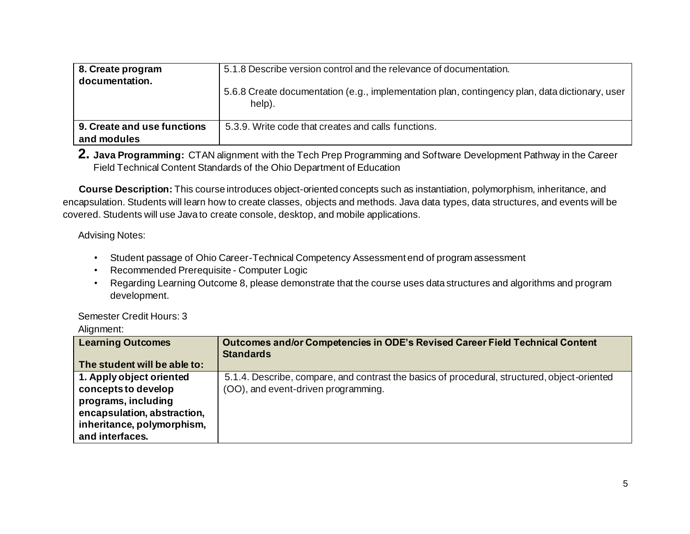| 8. Create program<br>documentation. | 5.1.8 Describe version control and the relevance of documentation.                                       |
|-------------------------------------|----------------------------------------------------------------------------------------------------------|
|                                     | 5.6.8 Create documentation (e.g., implementation plan, contingency plan, data dictionary, user<br>help). |
| 9. Create and use functions         | 5.3.9. Write code that creates and calls functions.                                                      |
| and modules                         |                                                                                                          |

**2. Java Programming:** CTAN alignment with the Tech Prep Programming and Software Development Pathway in the Career Field Technical Content Standards of the Ohio Department of Education

**Course Description:** This course introduces object-oriented concepts such as instantiation, polymorphism, inheritance, and encapsulation. Students will learn how to create classes, objects and methods. Java data types, data structures, and events will be covered. Students will use Java to create console, desktop, and mobile applications.

Advising Notes:

- Student passage of Ohio Career-Technical Competency Assessment end of program assessment
- Recommended Prerequisite Computer Logic
- Regarding Learning Outcome 8, please demonstrate that the course uses data structures and algorithms and program development.

Semester Credit Hours: 3

Alignment:

| <b>Learning Outcomes</b>     | Outcomes and/or Competencies in ODE's Revised Career Field Technical Content<br><b>Standards</b> |
|------------------------------|--------------------------------------------------------------------------------------------------|
| The student will be able to: |                                                                                                  |
| 1. Apply object oriented     | 5.1.4. Describe, compare, and contrast the basics of procedural, structured, object-oriented     |
| concepts to develop          | (OO), and event-driven programming.                                                              |
| programs, including          |                                                                                                  |
| encapsulation, abstraction,  |                                                                                                  |
| inheritance, polymorphism,   |                                                                                                  |
| and interfaces.              |                                                                                                  |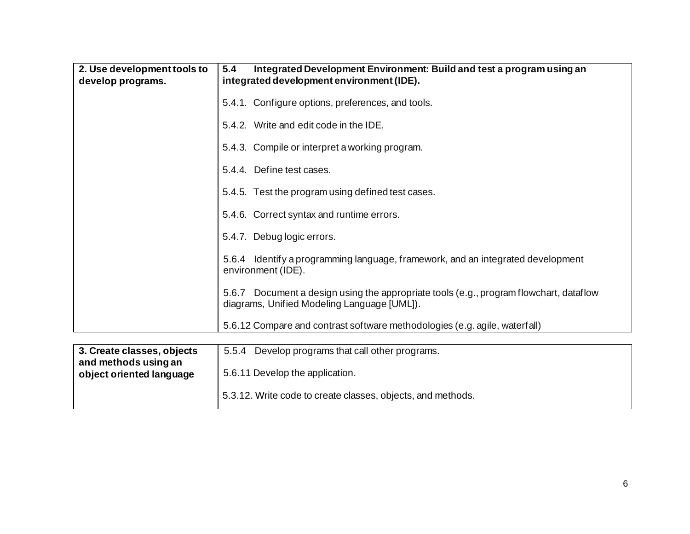| 2. Use development tools to<br>develop programs. | 5.4<br>Integrated Development Environment: Build and test a program using an<br>integrated development environment (IDE).                |
|--------------------------------------------------|------------------------------------------------------------------------------------------------------------------------------------------|
|                                                  | 5.4.1. Configure options, preferences, and tools.                                                                                        |
|                                                  | 5.4.2. Write and edit code in the IDE.                                                                                                   |
|                                                  | 5.4.3. Compile or interpret a working program.                                                                                           |
|                                                  | 5.4.4. Define test cases.                                                                                                                |
|                                                  | 5.4.5. Test the program using defined test cases.                                                                                        |
|                                                  | 5.4.6. Correct syntax and runtime errors.                                                                                                |
|                                                  | 5.4.7. Debug logic errors.                                                                                                               |
|                                                  | 5.6.4 Identify a programming language, framework, and an integrated development<br>environment (IDE).                                    |
|                                                  | Document a design using the appropriate tools (e.g., program flowchart, dataflow<br>5.6.7<br>diagrams, Unified Modeling Language [UML]). |
|                                                  | 5.6.12 Compare and contrast software methodologies (e.g. agile, waterfall)                                                               |

| 3. Create classes, objects<br>and methods using an | Develop programs that call other programs.<br>5.5.4         |
|----------------------------------------------------|-------------------------------------------------------------|
| object oriented language                           | 5.6.11 Develop the application.                             |
|                                                    | 5.3.12. Write code to create classes, objects, and methods. |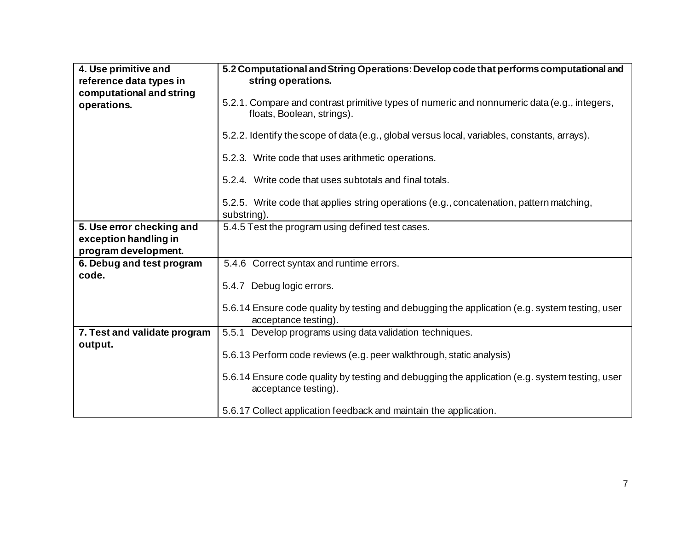| 4. Use primitive and<br>reference data types in                            | 5.2 Computational and String Operations: Develop code that performs computational and<br>string operations.               |
|----------------------------------------------------------------------------|---------------------------------------------------------------------------------------------------------------------------|
| computational and string<br>operations.                                    | 5.2.1. Compare and contrast primitive types of numeric and nonnumeric data (e.g., integers,<br>floats, Boolean, strings). |
|                                                                            | 5.2.2. Identify the scope of data (e.g., global versus local, variables, constants, arrays).                              |
|                                                                            | 5.2.3. Write code that uses arithmetic operations.                                                                        |
|                                                                            | 5.2.4. Write code that uses subtotals and final totals.                                                                   |
|                                                                            | 5.2.5. Write code that applies string operations (e.g., concatenation, pattern matching,<br>substring).                   |
| 5. Use error checking and<br>exception handling in<br>program development. | 5.4.5 Test the program using defined test cases.                                                                          |
| 6. Debug and test program<br>code.                                         | 5.4.6 Correct syntax and runtime errors.                                                                                  |
|                                                                            | 5.4.7 Debug logic errors.                                                                                                 |
|                                                                            | 5.6.14 Ensure code quality by testing and debugging the application (e.g. system testing, user<br>acceptance testing).    |
| 7. Test and validate program<br>output.                                    | 5.5.1<br>Develop programs using data validation techniques.                                                               |
|                                                                            | 5.6.13 Perform code reviews (e.g. peer walkthrough, static analysis)                                                      |
|                                                                            | 5.6.14 Ensure code quality by testing and debugging the application (e.g. system testing, user<br>acceptance testing).    |
|                                                                            | 5.6.17 Collect application feedback and maintain the application.                                                         |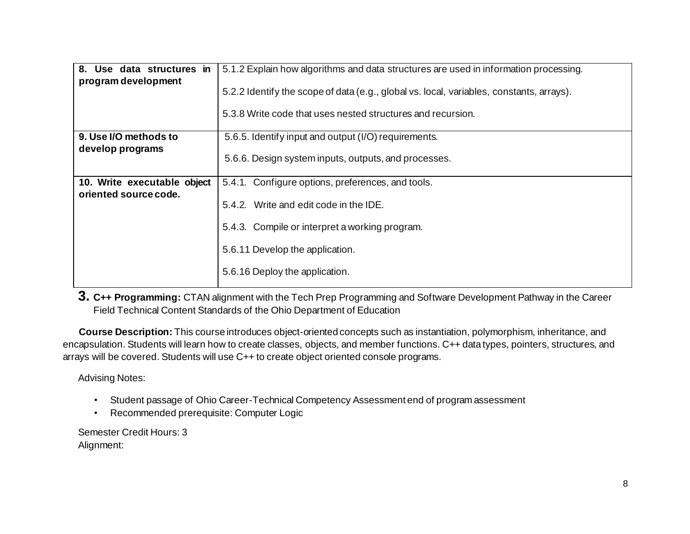| 8. Use data structures in<br>program development | 5.1.2 Explain how algorithms and data structures are used in information processing.<br>5.2.2 Identify the scope of data (e.g., global vs. local, variables, constants, arrays).<br>5.3.8 Write code that uses nested structures and recursion. |
|--------------------------------------------------|-------------------------------------------------------------------------------------------------------------------------------------------------------------------------------------------------------------------------------------------------|
| 9. Use I/O methods to                            | 5.6.5. Identify input and output (I/O) requirements.                                                                                                                                                                                            |
| develop programs                                 | 5.6.6. Design system inputs, outputs, and processes.                                                                                                                                                                                            |
| 10. Write executable object                      | 5.4.1. Configure options, preferences, and tools.                                                                                                                                                                                               |
| oriented source code.                            | 5.4.2. Write and edit code in the IDE.                                                                                                                                                                                                          |
|                                                  | 5.4.3. Compile or interpret a working program.                                                                                                                                                                                                  |
|                                                  | 5.6.11 Develop the application.                                                                                                                                                                                                                 |
|                                                  | 5.6.16 Deploy the application.                                                                                                                                                                                                                  |
|                                                  |                                                                                                                                                                                                                                                 |

**3. C++ Programming:** CTAN alignment with the Tech Prep Programming and Software Development Pathway in the Career Field Technical Content Standards of the Ohio Department of Education

**Course Description:** This course introduces object-oriented concepts such as instantiation, polymorphism, inheritance, and encapsulation. Students will learn how to create classes, objects, and member functions. C++ data types, pointers, structures, and arrays will be covered. Students will use C++ to create object oriented console programs.

Advising Notes:

- Student passage of Ohio Career-Technical Competency Assessment end of program assessment
- Recommended prerequisite: Computer Logic

Semester Credit Hours: 3 Alignment: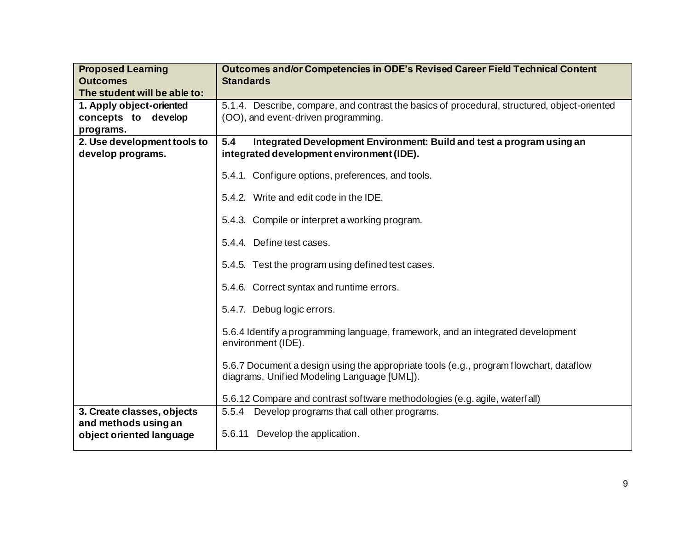| <b>Proposed Learning</b>                         | <b>Outcomes and/or Competencies in ODE's Revised Career Field Technical Content</b>                                                   |
|--------------------------------------------------|---------------------------------------------------------------------------------------------------------------------------------------|
| <b>Outcomes</b>                                  | <b>Standards</b>                                                                                                                      |
| The student will be able to:                     |                                                                                                                                       |
| 1. Apply object-oriented                         | 5.1.4. Describe, compare, and contrast the basics of procedural, structured, object-oriented                                          |
| concepts to develop                              | (OO), and event-driven programming.                                                                                                   |
| programs.                                        |                                                                                                                                       |
| 2. Use development tools to                      | 5.4<br>Integrated Development Environment: Build and test a program using an                                                          |
| develop programs.                                | integrated development environment (IDE).                                                                                             |
|                                                  | 5.4.1. Configure options, preferences, and tools.                                                                                     |
|                                                  | 5.4.2. Write and edit code in the IDE.                                                                                                |
|                                                  | 5.4.3. Compile or interpret a working program.                                                                                        |
|                                                  | 5.4.4. Define test cases.                                                                                                             |
|                                                  | 5.4.5. Test the program using defined test cases.                                                                                     |
|                                                  | 5.4.6. Correct syntax and runtime errors.                                                                                             |
|                                                  | 5.4.7. Debug logic errors.                                                                                                            |
|                                                  | 5.6.4 Identify a programming language, framework, and an integrated development<br>environment (IDE).                                 |
|                                                  | 5.6.7 Document a design using the appropriate tools (e.g., program flowchart, dataflow<br>diagrams, Unified Modeling Language [UML]). |
|                                                  | 5.6.12 Compare and contrast software methodologies (e.g. agile, waterfall)                                                            |
| 3. Create classes, objects                       | 5.5.4 Develop programs that call other programs.                                                                                      |
| and methods using an<br>object oriented language | 5.6.11 Develop the application.                                                                                                       |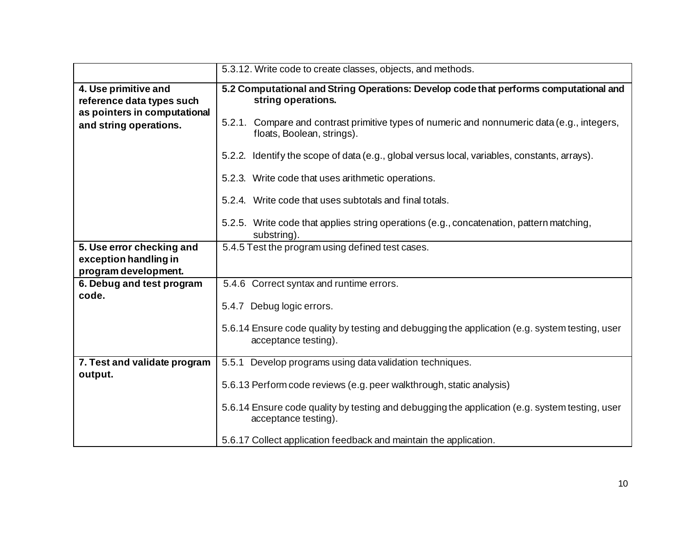|                                                                                   | 5.3.12. Write code to create classes, objects, and methods.                                                               |
|-----------------------------------------------------------------------------------|---------------------------------------------------------------------------------------------------------------------------|
| 4. Use primitive and<br>reference data types such<br>as pointers in computational | 5.2 Computational and String Operations: Develop code that performs computational and<br>string operations.               |
| and string operations.                                                            | 5.2.1. Compare and contrast primitive types of numeric and nonnumeric data (e.g., integers,<br>floats, Boolean, strings). |
|                                                                                   | 5.2.2. Identify the scope of data (e.g., global versus local, variables, constants, arrays).                              |
|                                                                                   | 5.2.3. Write code that uses arithmetic operations.                                                                        |
|                                                                                   | 5.2.4. Write code that uses subtotals and final totals.                                                                   |
|                                                                                   | 5.2.5. Write code that applies string operations (e.g., concatenation, pattern matching,<br>substring).                   |
| 5. Use error checking and<br>exception handling in<br>program development.        | 5.4.5 Test the program using defined test cases.                                                                          |
| 6. Debug and test program<br>code.                                                | 5.4.6 Correct syntax and runtime errors.                                                                                  |
|                                                                                   | 5.4.7 Debug logic errors.                                                                                                 |
|                                                                                   | 5.6.14 Ensure code quality by testing and debugging the application (e.g. system testing, user<br>acceptance testing).    |
| 7. Test and validate program<br>output.                                           | 5.5.1<br>Develop programs using data validation techniques.                                                               |
|                                                                                   | 5.6.13 Perform code reviews (e.g. peer walkthrough, static analysis)                                                      |
|                                                                                   | 5.6.14 Ensure code quality by testing and debugging the application (e.g. system testing, user<br>acceptance testing).    |
|                                                                                   | 5.6.17 Collect application feedback and maintain the application.                                                         |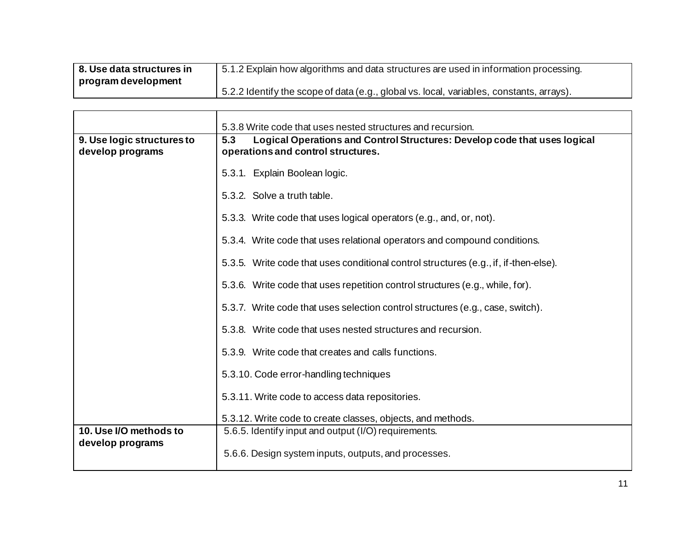| 8. Use data structures in | 5.1.2 Explain how algorithms and data structures are used in information processing.      |
|---------------------------|-------------------------------------------------------------------------------------------|
| program development       |                                                                                           |
|                           | 15.2.2 Identify the scope of data (e.g., global vs. local, variables, constants, arrays). |

|                                                | 5.3.8 Write code that uses nested structures and recursion.                                                            |
|------------------------------------------------|------------------------------------------------------------------------------------------------------------------------|
| 9. Use logic structures to<br>develop programs | Logical Operations and Control Structures: Develop code that uses logical<br>5.3<br>operations and control structures. |
|                                                |                                                                                                                        |
|                                                | 5.3.1. Explain Boolean logic.                                                                                          |
|                                                | 5.3.2. Solve a truth table.                                                                                            |
|                                                | 5.3.3. Write code that uses logical operators (e.g., and, or, not).                                                    |
|                                                | 5.3.4. Write code that uses relational operators and compound conditions.                                              |
|                                                | 5.3.5. Write code that uses conditional control structures (e.g., if, if-then-else).                                   |
|                                                | 5.3.6. Write code that uses repetition control structures (e.g., while, for).                                          |
|                                                | 5.3.7. Write code that uses selection control structures (e.g., case, switch).                                         |
|                                                | 5.3.8. Write code that uses nested structures and recursion.                                                           |
|                                                | 5.3.9. Write code that creates and calls functions.                                                                    |
|                                                | 5.3.10. Code error-handling techniques                                                                                 |
|                                                | 5.3.11. Write code to access data repositories.                                                                        |
|                                                | 5.3.12. Write code to create classes, objects, and methods.                                                            |
| 10. Use I/O methods to                         | 5.6.5. Identify input and output (I/O) requirements.                                                                   |
| develop programs                               | 5.6.6. Design system inputs, outputs, and processes.                                                                   |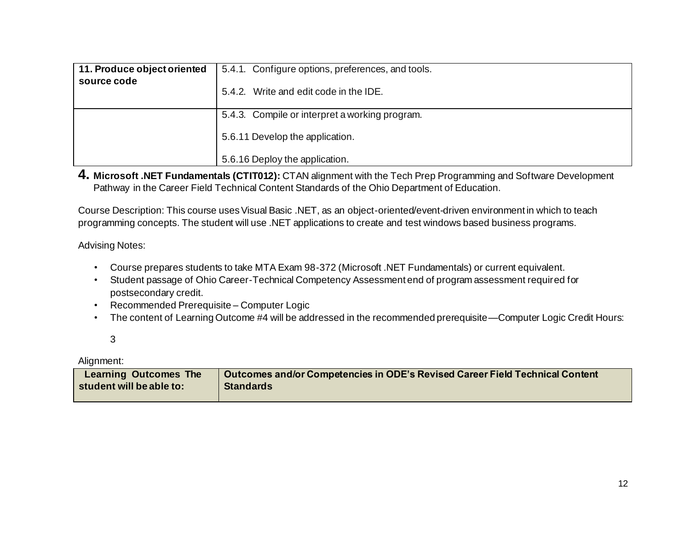| 11. Produce object oriented | 5.4.1. Configure options, preferences, and tools.                                                                   |
|-----------------------------|---------------------------------------------------------------------------------------------------------------------|
| source code                 | 5.4.2. Write and edit code in the IDE.                                                                              |
|                             | 5.4.3. Compile or interpret a working program.<br>5.6.11 Develop the application.<br>5.6.16 Deploy the application. |

**4. Microsoft .NET Fundamentals (CTIT012):** CTAN alignment with the Tech Prep Programming and Software Development Pathway in the Career Field Technical Content Standards of the Ohio Department of Education.

Course Description: This course uses Visual Basic .NET, as an object-oriented/event-driven environment in which to teach programming concepts. The student will use .NET applications to create and test windows based business programs.

Advising Notes:

- Course prepares students to take MTA Exam 98-372 (Microsoft .NET Fundamentals) or current equivalent.
- Student passage of Ohio Career-Technical Competency Assessment end of program assessment required for postsecondary credit.
- Recommended Prerequisite Computer Logic
- The content of Learning Outcome #4 will be addressed in the recommended prerequisite—Computer Logic Credit Hours:

Alignment:

| <b>Learning Outcomes The</b> | Outcomes and/or Competencies in ODE's Revised Career Field Technical Content |
|------------------------------|------------------------------------------------------------------------------|
| student will be able to:     | <b>Standards</b>                                                             |
|                              |                                                                              |

<sup>3</sup>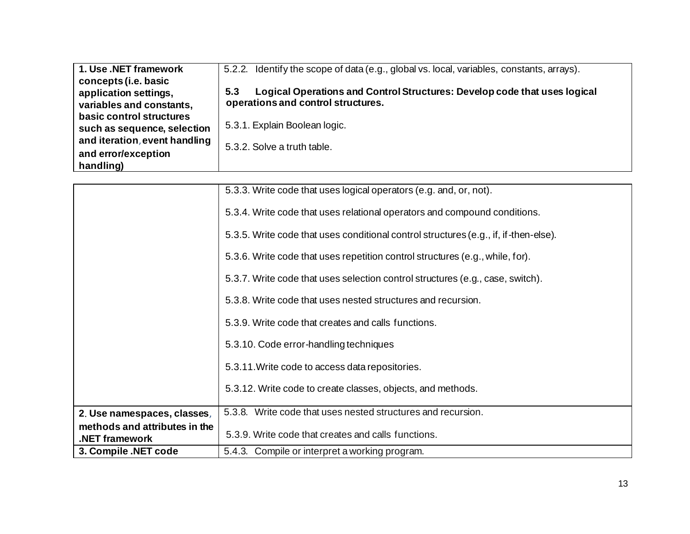| 1. Use .NET framework         | 5.2.2. Identify the scope of data (e.g., global vs. local, variables, constants, arrays). |
|-------------------------------|-------------------------------------------------------------------------------------------|
| concepts (i.e. basic          |                                                                                           |
| application settings,         | Logical Operations and Control Structures: Develop code that uses logical<br>5.3          |
| variables and constants,      | operations and control structures.                                                        |
| basic control structures      |                                                                                           |
| such as sequence, selection   | 5.3.1. Explain Boolean logic.                                                             |
| and iteration, event handling | 5.3.2. Solve a truth table.                                                               |
| and error/exception           |                                                                                           |
| handling)                     |                                                                                           |

|                                                 | 5.3.3. Write code that uses logical operators (e.g. and, or, not).                    |
|-------------------------------------------------|---------------------------------------------------------------------------------------|
|                                                 | 5.3.4. Write code that uses relational operators and compound conditions.             |
|                                                 | 5.3.5. Write code that uses conditional control structures (e.g., if, if -then-else). |
|                                                 | 5.3.6. Write code that uses repetition control structures (e.g., while, for).         |
|                                                 | 5.3.7. Write code that uses selection control structures (e.g., case, switch).        |
|                                                 | 5.3.8. Write code that uses nested structures and recursion.                          |
|                                                 | 5.3.9. Write code that creates and calls functions.                                   |
|                                                 | 5.3.10. Code error-handling techniques                                                |
|                                                 | 5.3.11. Write code to access data repositories.                                       |
|                                                 | 5.3.12. Write code to create classes, objects, and methods.                           |
|                                                 |                                                                                       |
| 2. Use namespaces, classes,                     | 5.3.8. Write code that uses nested structures and recursion.                          |
| methods and attributes in the<br>.NET framework | 5.3.9. Write code that creates and calls functions.                                   |
| 3. Compile .NET code                            | 5.4.3. Compile or interpret a working program.                                        |